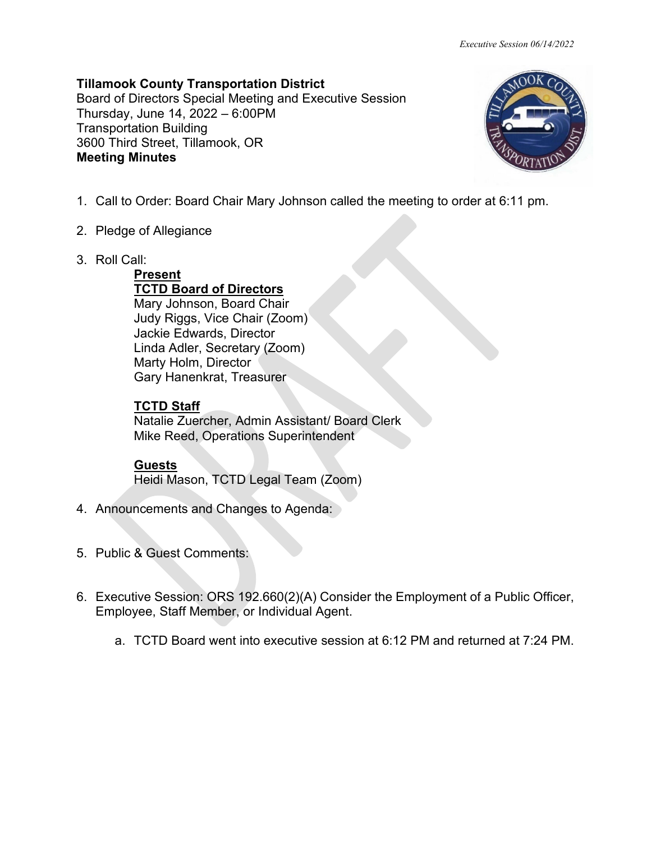**Tillamook County Transportation District** Board of Directors Special Meeting and Executive Session Thursday, June 14, 2022 – 6:00PM Transportation Building 3600 Third Street, Tillamook, OR **Meeting Minutes**



- 1. Call to Order: Board Chair Mary Johnson called the meeting to order at 6:11 pm.
- 2. Pledge of Allegiance
- 3. Roll Call:

**Present TCTD Board of Directors**  Mary Johnson, Board Chair Judy Riggs, Vice Chair (Zoom) Jackie Edwards, Director Linda Adler, Secretary (Zoom) Marty Holm, Director Gary Hanenkrat, Treasurer

## **TCTD Staff**

Natalie Zuercher, Admin Assistant/ Board Clerk Mike Reed, Operations Superintendent

## **Guests**

Heidi Mason, TCTD Legal Team (Zoom)

- 4. Announcements and Changes to Agenda:
- 5. Public & Guest Comments:
- 6. Executive Session: ORS 192.660(2)(A) Consider the Employment of a Public Officer, Employee, Staff Member, or Individual Agent.
	- a. TCTD Board went into executive session at 6:12 PM and returned at 7:24 PM.